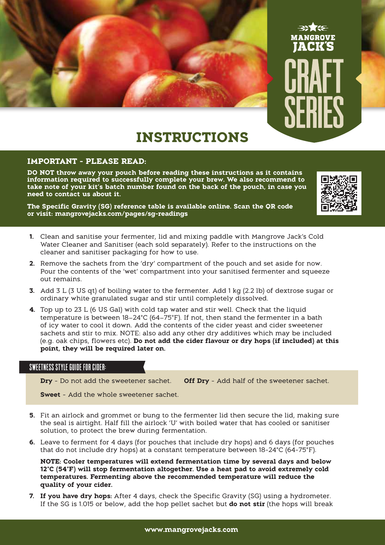



# **INSTRUCTIONS**

#### **IMPORTANT - PLEASE READ:**

**DO NOT throw away your pouch before reading these instructions as it contains information required to successfully complete your brew. We also recommend to take note of your kit's batch number found on the back of the pouch, in case you need to contact us about it.**

**The Specific Gravity (SG) reference table is available online. Scan the QR code or visit: mangrovejacks.com/pages/sg-readings**



- **1.** Clean and sanitise your fermenter, lid and mixing paddle with Mangrove Jack's Cold Water Cleaner and Sanitiser (each sold separately). Refer to the instructions on the cleaner and sanitiser packaging for how to use.
- **2.** Remove the sachets from the 'dry' compartment of the pouch and set aside for now. Pour the contents of the 'wet' compartment into your sanitised fermenter and squeeze out remains.
- **3.** Add 3 L (3 US qt) of boiling water to the fermenter. Add 1 kg (2.2 lb) of dextrose sugar or ordinary white granulated sugar and stir until completely dissolved.
- **4.** Top up to 23 L (6 US Gal) with cold tap water and stir well. Check that the liquid temperature is between 18–24°C (64–75°F). If not, then stand the fermenter in a bath of icy water to cool it down. Add the contents of the cider yeast and cider sweetener sachets and stir to mix. NOTE: also add any other dry additives which may be included (e.g. oak chips, flowers etc). **Do not add the cider flavour or dry hops (if included) at this point, they will be required later on.**

## SWEETNESS STYLE GUIDE FOR CIDER:

**Dry** - Do not add the sweetener sachet. **Off Dry** - Add half of the sweetener sachet.

**Sweet** - Add the whole sweetener sachet.

- **5.** Fit an airlock and grommet or bung to the fermenter lid then secure the lid, making sure the seal is airtight. Half fill the airlock 'U' with boiled water that has cooled or sanitiser solution, to protect the brew during fermentation.
- **6.** Leave to ferment for 4 days (for pouches that include dry hops) and 6 days (for pouches that do not include dry hops) at a constant temperature between 18-24°C (64-75°F).

**NOTE: Cooler temperatures will extend fermentation time by several days and below 12°C (54°F) will stop fermentation altogether. Use a heat pad to avoid extremely cold temperatures. Fermenting above the recommended temperature will reduce the quality of your cider.**

**7. If you have dry hops:** After 4 days, check the Specific Gravity (SG) using a hydrometer. If the SG is 1.015 or below, add the hop pellet sachet but **do not stir** (the hops will break